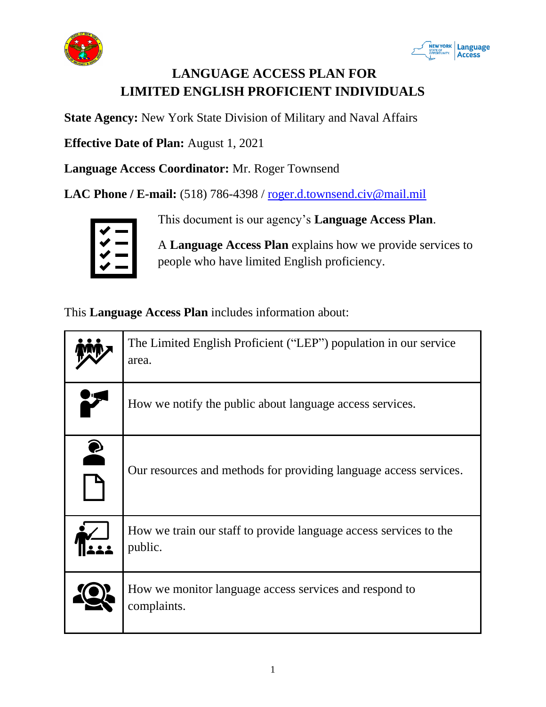



# **LANGUAGE ACCESS PLAN FOR LIMITED ENGLISH PROFICIENT INDIVIDUALS**

**State Agency:** New York State Division of Military and Naval Affairs

**Effective Date of Plan:** August 1, 2021

**Language Access Coordinator:** Mr. Roger Townsend

**LAC Phone / E-mail:** (518) 786-4398 / roger.d.townsend.civ@mail.mil



This document is our agency's **Language Access Plan**.

A **Language Access Plan** explains how we provide services to people who have limited English proficiency.

This **Language Access Plan** includes information about:

|           | The Limited English Proficient ("LEP") population in our service<br>area.    |  |
|-----------|------------------------------------------------------------------------------|--|
|           | How we notify the public about language access services.                     |  |
| $\bullet$ | Our resources and methods for providing language access services.            |  |
|           | How we train our staff to provide language access services to the<br>public. |  |
|           | How we monitor language access services and respond to<br>complaints.        |  |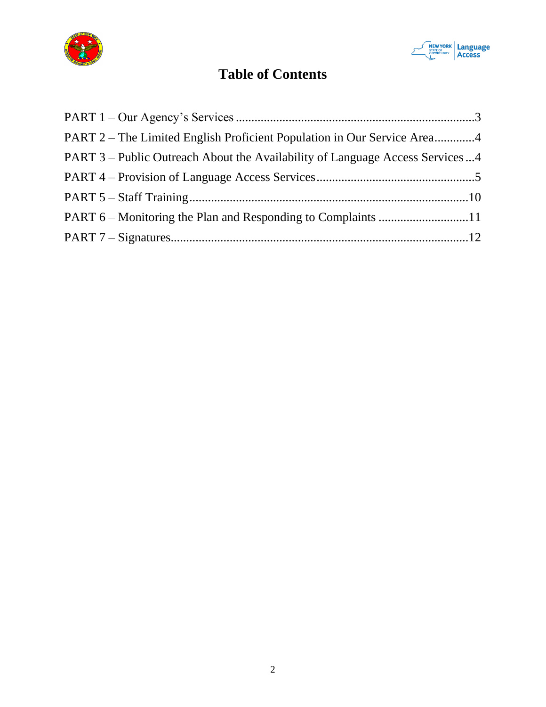



# **Table of Contents**

| PART 2 – The Limited English Proficient Population in Our Service Area4      |  |
|------------------------------------------------------------------------------|--|
| PART 3 – Public Outreach About the Availability of Language Access Services4 |  |
|                                                                              |  |
|                                                                              |  |
|                                                                              |  |
|                                                                              |  |
|                                                                              |  |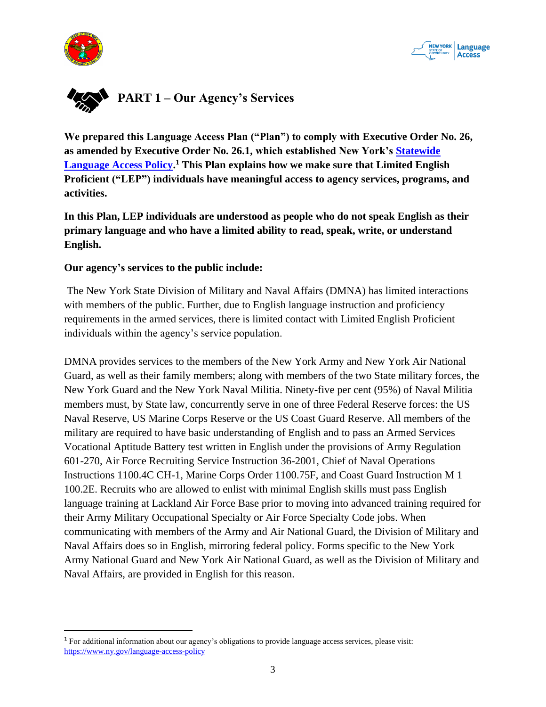



<span id="page-2-0"></span>

**We prepared this Language Access Plan ("Plan") to comply with Executive Order No. 26, as amended by Executive Order No. 26.1, which established New York's Statewide Language Access Policy. <sup>1</sup> This Plan explains how we make sure that Limited English Proficient ("LEP") individuals have meaningful access to agency services, programs, and activities.**

**In this Plan, LEP individuals are understood as people who do not speak English as their primary language and who have a limited ability to read, speak, write, or understand English.** 

#### **Our agency's services to the public include:**

The New York State Division of Military and Naval Affairs (DMNA) has limited interactions with members of the public. Further, due to English language instruction and proficiency requirements in the armed services, there is limited contact with Limited English Proficient individuals within the agency's service population.

DMNA provides services to the members of the New York Army and New York Air National Guard, as well as their family members; along with members of the two State military forces, the New York Guard and the New York Naval Militia. Ninety-five per cent (95%) of Naval Militia members must, by State law, concurrently serve in one of three Federal Reserve forces: the US Naval Reserve, US Marine Corps Reserve or the US Coast Guard Reserve. All members of the military are required to have basic understanding of English and to pass an Armed Services Vocational Aptitude Battery test written in English under the provisions of Army Regulation 601-270, Air Force Recruiting Service Instruction 36-2001, Chief of Naval Operations Instructions 1100.4C CH-1, Marine Corps Order 1100.75F, and Coast Guard Instruction M 1 100.2E. Recruits who are allowed to enlist with minimal English skills must pass English language training at Lackland Air Force Base prior to moving into advanced training required for their Army Military Occupational Specialty or Air Force Specialty Code jobs. When communicating with members of the Army and Air National Guard, the Division of Military and Naval Affairs does so in English, mirroring federal policy. Forms specific to the New York Army National Guard and New York Air National Guard, as well as the Division of Military and Naval Affairs, are provided in English for this reason.

<sup>1</sup> For additional information about our agency's obligations to provide language access services, please visit: https://www.ny.gov/language-access-policy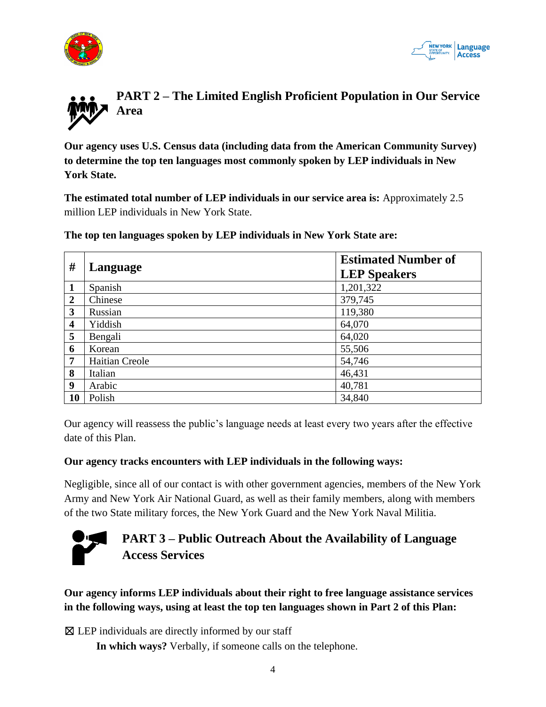



<span id="page-3-0"></span>

**Our agency uses U.S. Census data (including data from the American Community Survey) to determine the top ten languages most commonly spoken by LEP individuals in New York State.** 

**The estimated total number of LEP individuals in our service area is:** Approximately 2.5 million LEP individuals in New York State.

**The top ten languages spoken by LEP individuals in New York State are:**

| #                       | Language              | <b>Estimated Number of</b> |
|-------------------------|-----------------------|----------------------------|
|                         |                       | <b>LEP Speakers</b>        |
| $\mathbf{1}$            | Spanish               | 1,201,322                  |
| $\overline{2}$          | Chinese               | 379,745                    |
| 3                       | Russian               | 119,380                    |
| $\overline{\mathbf{4}}$ | Yiddish               | 64,070                     |
| 5                       | Bengali               | 64,020                     |
| 6                       | Korean                | 55,506                     |
| 7                       | <b>Haitian Creole</b> | 54,746                     |
| 8                       | Italian               | 46,431                     |
| 9                       | Arabic                | 40,781                     |
| <b>10</b>               | Polish                | 34,840                     |

Our agency will reassess the public's language needs at least every two years after the effective date of this Plan.

#### **Our agency tracks encounters with LEP individuals in the following ways:**

Negligible, since all of our contact is with other government agencies, members of the New York Army and New York Air National Guard, as well as their family members, along with members of the two State military forces, the New York Guard and the New York Naval Militia.



## <span id="page-3-1"></span>**PART 3 – Public Outreach About the Availability of Language Access Services**

**Our agency informs LEP individuals about their right to free language assistance services in the following ways, using at least the top ten languages shown in Part 2 of this Plan:**

 $\boxtimes$  LEP individuals are directly informed by our staff

**In which ways?** Verbally, if someone calls on the telephone.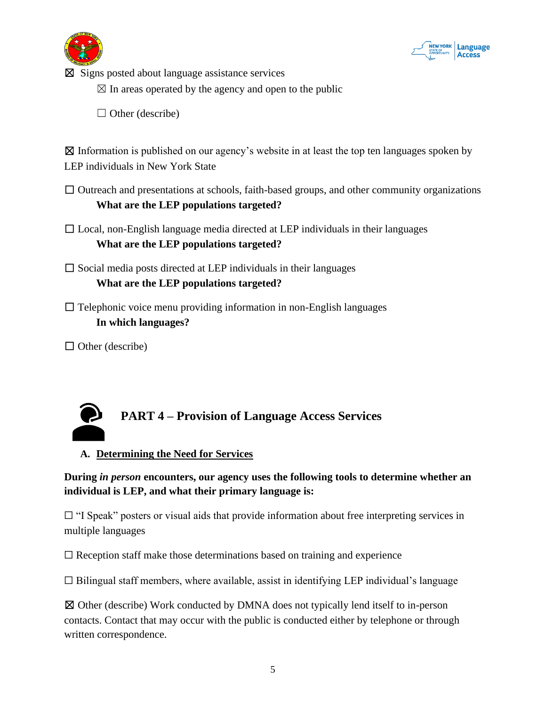



 $\boxtimes$  Signs posted about language assistance services

 $\boxtimes$  In areas operated by the agency and open to the public

 $\Box$  Other (describe)

 $\boxtimes$  Information is published on our agency's website in at least the top ten languages spoken by LEP individuals in New York State

- $\Box$  Outreach and presentations at schools, faith-based groups, and other community organizations **What are the LEP populations targeted?**
- $\Box$  Local, non-English language media directed at LEP individuals in their languages **What are the LEP populations targeted?**

 $\Box$  Social media posts directed at LEP individuals in their languages

**What are the LEP populations targeted?**

 $\Box$  Telephonic voice menu providing information in non-English languages **In which languages?** 

 $\Box$  Other (describe)



### <span id="page-4-0"></span>**PART 4 – Provision of Language Access Services**

#### **A. Determining the Need for Services**

**During** *in person* **encounters, our agency uses the following tools to determine whether an individual is LEP, and what their primary language is:**

 $\Box$  "I Speak" posters or visual aids that provide information about free interpreting services in multiple languages

 $\Box$  Reception staff make those determinations based on training and experience

 $\Box$  Bilingual staff members, where available, assist in identifying LEP individual's language

☒ Other (describe) Work conducted by DMNA does not typically lend itself to in-person contacts. Contact that may occur with the public is conducted either by telephone or through written correspondence.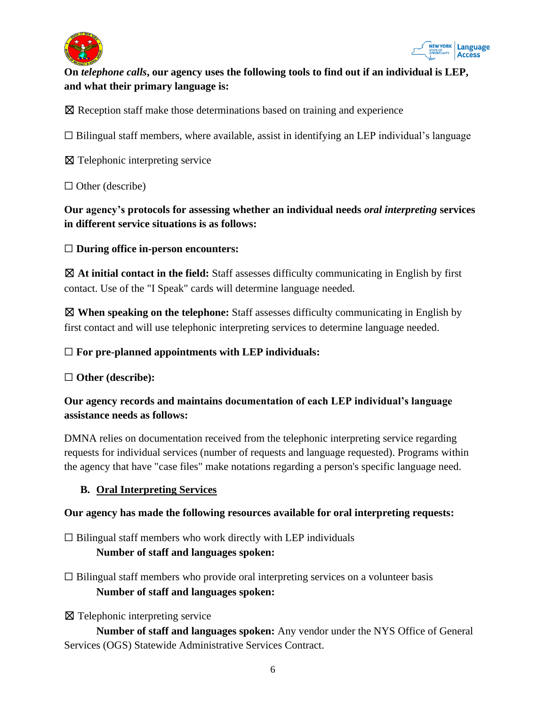



#### **On** *telephone calls***, our agency uses the following tools to find out if an individual is LEP, and what their primary language is:**

☒ Reception staff make those determinations based on training and experience

☐ Bilingual staff members, where available, assist in identifying an LEP individual's language

☒ Telephonic interpreting service

 $\Box$  Other (describe)

**Our agency's protocols for assessing whether an individual needs** *oral interpreting* **services in different service situations is as follows:**

☐ **During office in-person encounters:**

☒ **At initial contact in the field:** Staff assesses difficulty communicating in English by first contact. Use of the "I Speak" cards will determine language needed.

☒ **When speaking on the telephone:** Staff assesses difficulty communicating in English by first contact and will use telephonic interpreting services to determine language needed.

#### ☐ **For pre-planned appointments with LEP individuals:**

#### ☐ **Other (describe):**

#### **Our agency records and maintains documentation of each LEP individual's language assistance needs as follows:**

DMNA relies on documentation received from the telephonic interpreting service regarding requests for individual services (number of requests and language requested). Programs within the agency that have "case files" make notations regarding a person's specific language need.

#### **B. Oral Interpreting Services**

#### **Our agency has made the following resources available for oral interpreting requests:**

 $\Box$  Bilingual staff members who work directly with LEP individuals **Number of staff and languages spoken:**

- $\Box$  Bilingual staff members who provide oral interpreting services on a volunteer basis **Number of staff and languages spoken:**
- ☒ Telephonic interpreting service

**Number of staff and languages spoken:** Any vendor under the NYS Office of General Services (OGS) Statewide Administrative Services Contract.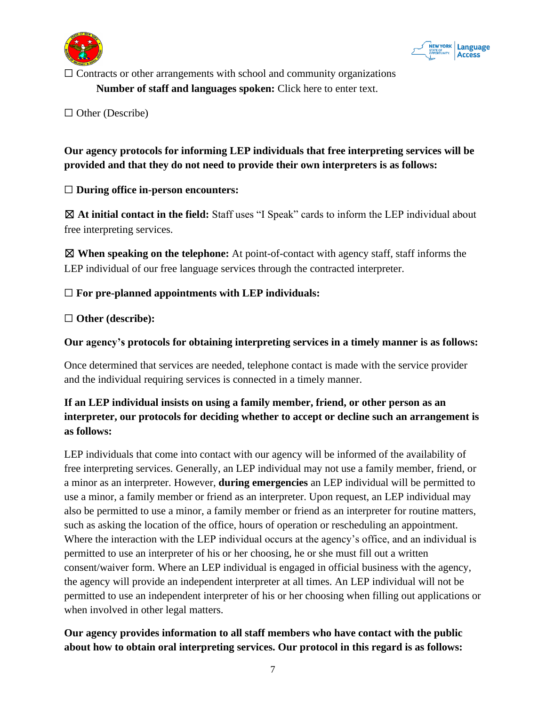



 $\Box$  Contracts or other arrangements with school and community organizations **Number of staff and languages spoken:** Click here to enter text.

□ Other (Describe)

#### **Our agency protocols for informing LEP individuals that free interpreting services will be provided and that they do not need to provide their own interpreters is as follows:**

☐ **During office in-person encounters:**

☒ **At initial contact in the field:** Staff uses "I Speak" cards to inform the LEP individual about free interpreting services.

☒ **When speaking on the telephone:** At point-of-contact with agency staff, staff informs the LEP individual of our free language services through the contracted interpreter.

☐ **For pre-planned appointments with LEP individuals:**

☐ **Other (describe):**

#### **Our agency's protocols for obtaining interpreting services in a timely manner is as follows:**

Once determined that services are needed, telephone contact is made with the service provider and the individual requiring services is connected in a timely manner.

#### **If an LEP individual insists on using a family member, friend, or other person as an interpreter, our protocols for deciding whether to accept or decline such an arrangement is as follows:**

LEP individuals that come into contact with our agency will be informed of the availability of free interpreting services. Generally, an LEP individual may not use a family member, friend, or a minor as an interpreter. However, **during emergencies** an LEP individual will be permitted to use a minor, a family member or friend as an interpreter. Upon request, an LEP individual may also be permitted to use a minor, a family member or friend as an interpreter for routine matters, such as asking the location of the office, hours of operation or rescheduling an appointment. Where the interaction with the LEP individual occurs at the agency's office, and an individual is permitted to use an interpreter of his or her choosing, he or she must fill out a written consent/waiver form. Where an LEP individual is engaged in official business with the agency, the agency will provide an independent interpreter at all times. An LEP individual will not be permitted to use an independent interpreter of his or her choosing when filling out applications or when involved in other legal matters.

#### **Our agency provides information to all staff members who have contact with the public about how to obtain oral interpreting services. Our protocol in this regard is as follows:**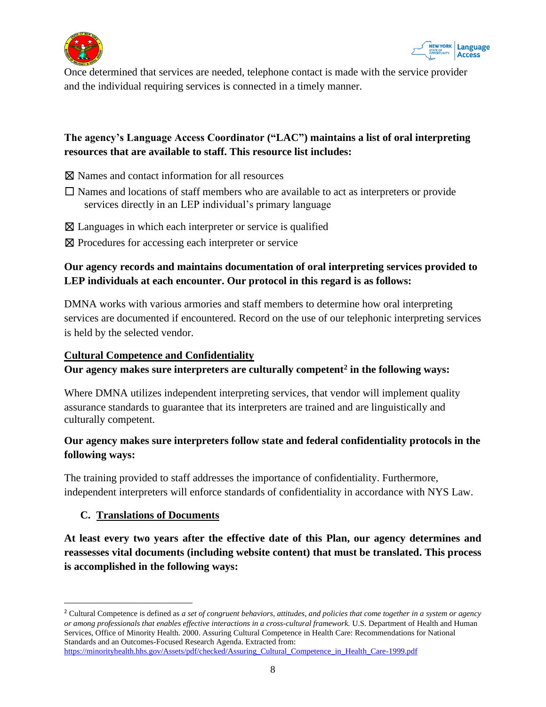



Once determined that services are needed, telephone contact is made with the service provider and the individual requiring services is connected in a timely manner.

#### **The agency's Language Access Coordinator ("LAC") maintains a list of oral interpreting resources that are available to staff. This resource list includes:**

- ☒ Names and contact information for all resources
- $\Box$  Names and locations of staff members who are available to act as interpreters or provide services directly in an LEP individual's primary language
- $\boxtimes$  Languages in which each interpreter or service is qualified
- ⊠ Procedures for accessing each interpreter or service

#### **Our agency records and maintains documentation of oral interpreting services provided to LEP individuals at each encounter. Our protocol in this regard is as follows:**

DMNA works with various armories and staff members to determine how oral interpreting services are documented if encountered. Record on the use of our telephonic interpreting services is held by the selected vendor.

#### **Cultural Competence and Confidentiality**

#### **Our agency makes sure interpreters are culturally competent<sup>2</sup> in the following ways:**

Where DMNA utilizes independent interpreting services, that vendor will implement quality assurance standards to guarantee that its interpreters are trained and are linguistically and culturally competent.

#### **Our agency makes sure interpreters follow state and federal confidentiality protocols in the following ways:**

The training provided to staff addresses the importance of confidentiality. Furthermore, independent interpreters will enforce standards of confidentiality in accordance with NYS Law.

#### **C. Translations of Documents**

**At least every two years after the effective date of this Plan, our agency determines and reassesses vital documents (including website content) that must be translated. This process is accomplished in the following ways:**

<sup>2</sup> Cultural Competence is defined as *a set of congruent behaviors, attitudes, and policies that come together in a system or agency or among professionals that enables effective interactions in a cross-cultural framework.* U.S. Department of Health and Human Services, Office of Minority Health. 2000. Assuring Cultural Competence in Health Care: Recommendations for National Standards and an Outcomes-Focused Research Agenda. Extracted from: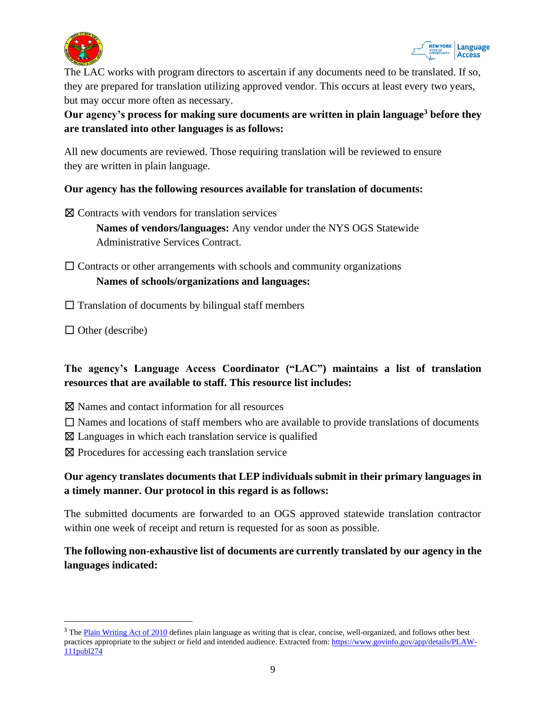



The LAC works with program directors to ascertain if any documents need to be translated. If so, they are prepared for translation utilizing approved vendor. This occurs at least every two years, but may occur more often as necessary.

#### **Our agency's process for making sure documents are written in plain language<sup>3</sup> before they are translated into other languages is as follows:**

All new documents are reviewed. Those requiring translation will be reviewed to ensure they are written in plain language.

#### **Our agency has the following resources available for translation of documents:**

☒ Contracts with vendors for translation services

**Names of vendors/languages:** Any vendor under the NYS OGS Statewide Administrative Services Contract.

 $\Box$  Contracts or other arrangements with schools and community organizations **Names of schools/organizations and languages:**

 $\Box$  Translation of documents by bilingual staff members

 $\Box$  Other (describe)

#### **The agency's Language Access Coordinator ("LAC") maintains a list of translation resources that are available to staff. This resource list includes:**

- ⊠ Names and contact information for all resources
- $\Box$  Names and locations of staff members who are available to provide translations of documents
- $\boxtimes$  Languages in which each translation service is qualified
- ⊠ Procedures for accessing each translation service

#### **Our agency translates documents that LEP individuals submit in their primary languages in a timely manner. Our protocol in this regard is as follows:**

The submitted documents are forwarded to an OGS approved statewide translation contractor within one week of receipt and return is requested for as soon as possible.

**The following non-exhaustive list of documents are currently translated by our agency in the languages indicated:**

<sup>&</sup>lt;sup>3</sup> The Plain Writing Act of 2010 defines plain language as writing that is clear, concise, well-organized, and follows other best practices appropriate to the subject or field and intended audience. Extracted from: https://www.govinfo.gov/app/details/PLAW-111publ274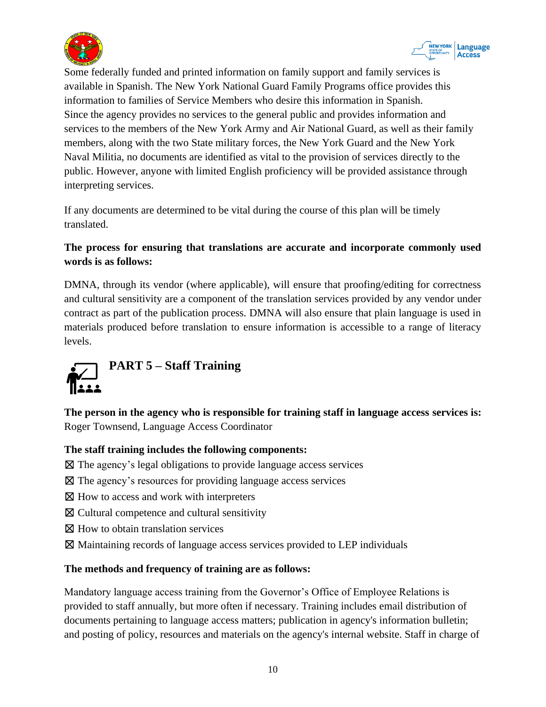



Some federally funded and printed information on family support and family services is available in Spanish. The New York National Guard Family Programs office provides this information to families of Service Members who desire this information in Spanish. Since the agency provides no services to the general public and provides information and services to the members of the New York Army and Air National Guard, as well as their family members, along with the two State military forces, the New York Guard and the New York Naval Militia, no documents are identified as vital to the provision of services directly to the public. However, anyone with limited English proficiency will be provided assistance through interpreting services.

If any documents are determined to be vital during the course of this plan will be timely translated.

#### **The process for ensuring that translations are accurate and incorporate commonly used words is as follows:**

DMNA, through its vendor (where applicable), will ensure that proofing/editing for correctness and cultural sensitivity are a component of the translation services provided by any vendor under contract as part of the publication process. DMNA will also ensure that plain language is used in materials produced before translation to ensure information is accessible to a range of literacy levels.

<span id="page-9-0"></span>

**The person in the agency who is responsible for training staff in language access services is:** Roger Townsend, Language Access Coordinator

#### **The staff training includes the following components:**

- ☒ The agency's legal obligations to provide language access services
- ☒ The agency's resources for providing language access services
- $\boxtimes$  How to access and work with interpreters
- ☒ Cultural competence and cultural sensitivity
- ☒ How to obtain translation services
- ☒ Maintaining records of language access services provided to LEP individuals

#### **The methods and frequency of training are as follows:**

Mandatory language access training from the Governor's Office of Employee Relations is provided to staff annually, but more often if necessary. Training includes email distribution of documents pertaining to language access matters; publication in agency's information bulletin; and posting of policy, resources and materials on the agency's internal website. Staff in charge of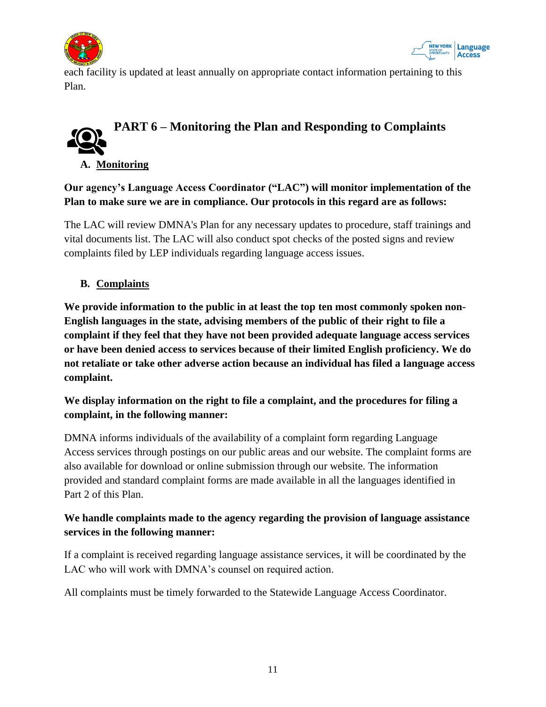



each facility is updated at least annually on appropriate contact information pertaining to this Plan.

# <span id="page-10-0"></span>**PART 6 – Monitoring the Plan and Responding to Complaints**

**A. Monitoring**

**Our agency's Language Access Coordinator ("LAC") will monitor implementation of the Plan to make sure we are in compliance. Our protocols in this regard are as follows:**

The LAC will review DMNA's Plan for any necessary updates to procedure, staff trainings and vital documents list. The LAC will also conduct spot checks of the posted signs and review complaints filed by LEP individuals regarding language access issues.

#### **B. Complaints**

**We provide information to the public in at least the top ten most commonly spoken non-English languages in the state, advising members of the public of their right to file a complaint if they feel that they have not been provided adequate language access services or have been denied access to services because of their limited English proficiency. We do not retaliate or take other adverse action because an individual has filed a language access complaint.** 

#### **We display information on the right to file a complaint, and the procedures for filing a complaint, in the following manner:**

DMNA informs individuals of the availability of a complaint form regarding Language Access services through postings on our public areas and our website. The complaint forms are also available for download or online submission through our website. The information provided and standard complaint forms are made available in all the languages identified in Part 2 of this Plan.

#### **We handle complaints made to the agency regarding the provision of language assistance services in the following manner:**

If a complaint is received regarding language assistance services, it will be coordinated by the LAC who will work with DMNA's counsel on required action.

<span id="page-10-1"></span>All complaints must be timely forwarded to the Statewide Language Access Coordinator.